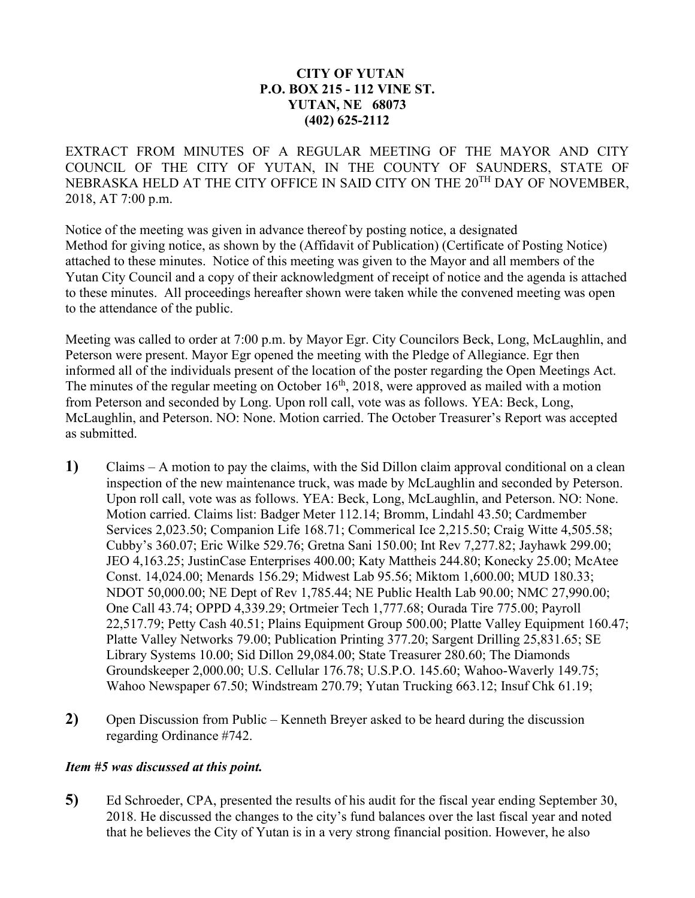## **CITY OF YUTAN P.O. BOX 215 - 112 VINE ST. YUTAN, NE 68073 (402) 625-2112**

EXTRACT FROM MINUTES OF A REGULAR MEETING OF THE MAYOR AND CITY COUNCIL OF THE CITY OF YUTAN, IN THE COUNTY OF SAUNDERS, STATE OF NEBRASKA HELD AT THE CITY OFFICE IN SAID CITY ON THE 20<sup>TH</sup> DAY OF NOVEMBER, 2018, AT 7:00 p.m.

Notice of the meeting was given in advance thereof by posting notice, a designated Method for giving notice, as shown by the (Affidavit of Publication) (Certificate of Posting Notice) attached to these minutes. Notice of this meeting was given to the Mayor and all members of the Yutan City Council and a copy of their acknowledgment of receipt of notice and the agenda is attached to these minutes. All proceedings hereafter shown were taken while the convened meeting was open to the attendance of the public.

Meeting was called to order at 7:00 p.m. by Mayor Egr. City Councilors Beck, Long, McLaughlin, and Peterson were present. Mayor Egr opened the meeting with the Pledge of Allegiance. Egr then informed all of the individuals present of the location of the poster regarding the Open Meetings Act. The minutes of the regular meeting on October 16<sup>th</sup>, 2018, were approved as mailed with a motion from Peterson and seconded by Long. Upon roll call, vote was as follows. YEA: Beck, Long, McLaughlin, and Peterson. NO: None. Motion carried. The October Treasurer's Report was accepted as submitted.

- **1)** Claims A motion to pay the claims, with the Sid Dillon claim approval conditional on a clean inspection of the new maintenance truck, was made by McLaughlin and seconded by Peterson. Upon roll call, vote was as follows. YEA: Beck, Long, McLaughlin, and Peterson. NO: None. Motion carried. Claims list: Badger Meter 112.14; Bromm, Lindahl 43.50; Cardmember Services 2,023.50; Companion Life 168.71; Commerical Ice 2,215.50; Craig Witte 4,505.58; Cubby's 360.07; Eric Wilke 529.76; Gretna Sani 150.00; Int Rev 7,277.82; Jayhawk 299.00; JEO 4,163.25; JustinCase Enterprises 400.00; Katy Mattheis 244.80; Konecky 25.00; McAtee Const. 14,024.00; Menards 156.29; Midwest Lab 95.56; Miktom 1,600.00; MUD 180.33; NDOT 50,000.00; NE Dept of Rev 1,785.44; NE Public Health Lab 90.00; NMC 27,990.00; One Call 43.74; OPPD 4,339.29; Ortmeier Tech 1,777.68; Ourada Tire 775.00; Payroll 22,517.79; Petty Cash 40.51; Plains Equipment Group 500.00; Platte Valley Equipment 160.47; Platte Valley Networks 79.00; Publication Printing 377.20; Sargent Drilling 25,831.65; SE Library Systems 10.00; Sid Dillon 29,084.00; State Treasurer 280.60; The Diamonds Groundskeeper 2,000.00; U.S. Cellular 176.78; U.S.P.O. 145.60; Wahoo-Waverly 149.75; Wahoo Newspaper 67.50; Windstream 270.79; Yutan Trucking 663.12; Insuf Chk 61.19;
- **2)** Open Discussion from Public Kenneth Breyer asked to be heard during the discussion regarding Ordinance #742.

## *Item #5 was discussed at this point.*

**5)** Ed Schroeder, CPA, presented the results of his audit for the fiscal year ending September 30, 2018. He discussed the changes to the city's fund balances over the last fiscal year and noted that he believes the City of Yutan is in a very strong financial position. However, he also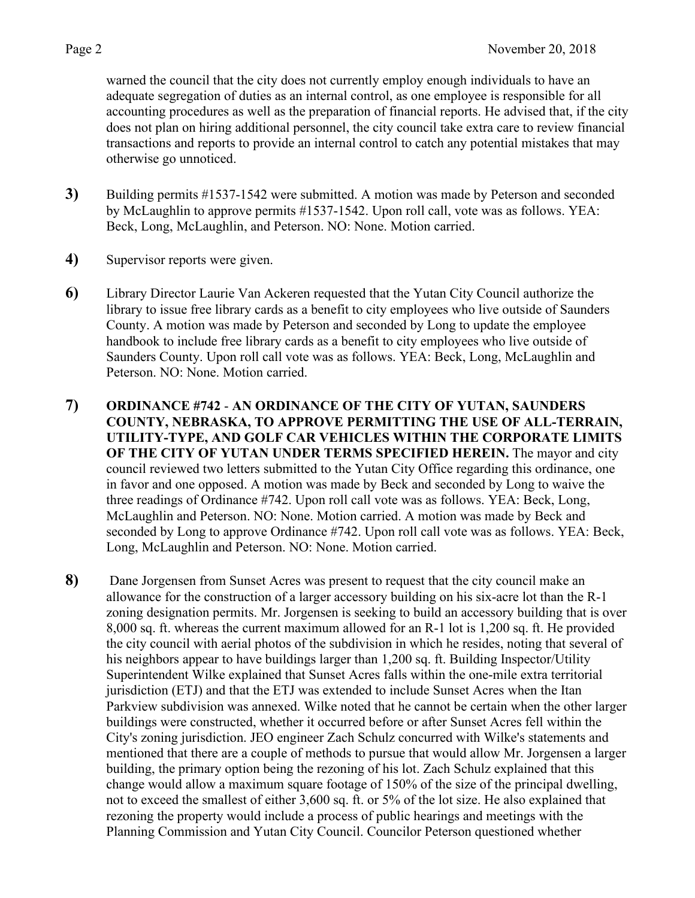warned the council that the city does not currently employ enough individuals to have an adequate segregation of duties as an internal control, as one employee is responsible for all accounting procedures as well as the preparation of financial reports. He advised that, if the city does not plan on hiring additional personnel, the city council take extra care to review financial transactions and reports to provide an internal control to catch any potential mistakes that may otherwise go unnoticed.

- **3)** Building permits #1537-1542 were submitted. A motion was made by Peterson and seconded by McLaughlin to approve permits #1537-1542. Upon roll call, vote was as follows. YEA: Beck, Long, McLaughlin, and Peterson. NO: None. Motion carried.
- **4)** Supervisor reports were given.
- **6)** Library Director Laurie Van Ackeren requested that the Yutan City Council authorize the library to issue free library cards as a benefit to city employees who live outside of Saunders County. A motion was made by Peterson and seconded by Long to update the employee handbook to include free library cards as a benefit to city employees who live outside of Saunders County. Upon roll call vote was as follows. YEA: Beck, Long, McLaughlin and Peterson. NO: None. Motion carried.
- **7) ORDINANCE #742 AN ORDINANCE OF THE CITY OF YUTAN, SAUNDERS COUNTY, NEBRASKA, TO APPROVE PERMITTING THE USE OF ALL-TERRAIN, UTILITY-TYPE, AND GOLF CAR VEHICLES WITHIN THE CORPORATE LIMITS OF THE CITY OF YUTAN UNDER TERMS SPECIFIED HEREIN.** The mayor and city council reviewed two letters submitted to the Yutan City Office regarding this ordinance, one in favor and one opposed. A motion was made by Beck and seconded by Long to waive the three readings of Ordinance #742. Upon roll call vote was as follows. YEA: Beck, Long, McLaughlin and Peterson. NO: None. Motion carried. A motion was made by Beck and seconded by Long to approve Ordinance #742. Upon roll call vote was as follows. YEA: Beck, Long, McLaughlin and Peterson. NO: None. Motion carried.
- **8)** Dane Jorgensen from Sunset Acres was present to request that the city council make an allowance for the construction of a larger accessory building on his six-acre lot than the R-1 zoning designation permits. Mr. Jorgensen is seeking to build an accessory building that is over 8,000 sq. ft. whereas the current maximum allowed for an R-1 lot is 1,200 sq. ft. He provided the city council with aerial photos of the subdivision in which he resides, noting that several of his neighbors appear to have buildings larger than 1,200 sq. ft. Building Inspector/Utility Superintendent Wilke explained that Sunset Acres falls within the one-mile extra territorial jurisdiction (ETJ) and that the ETJ was extended to include Sunset Acres when the Itan Parkview subdivision was annexed. Wilke noted that he cannot be certain when the other larger buildings were constructed, whether it occurred before or after Sunset Acres fell within the City's zoning jurisdiction. JEO engineer Zach Schulz concurred with Wilke's statements and mentioned that there are a couple of methods to pursue that would allow Mr. Jorgensen a larger building, the primary option being the rezoning of his lot. Zach Schulz explained that this change would allow a maximum square footage of 150% of the size of the principal dwelling, not to exceed the smallest of either 3,600 sq. ft. or 5% of the lot size. He also explained that rezoning the property would include a process of public hearings and meetings with the Planning Commission and Yutan City Council. Councilor Peterson questioned whether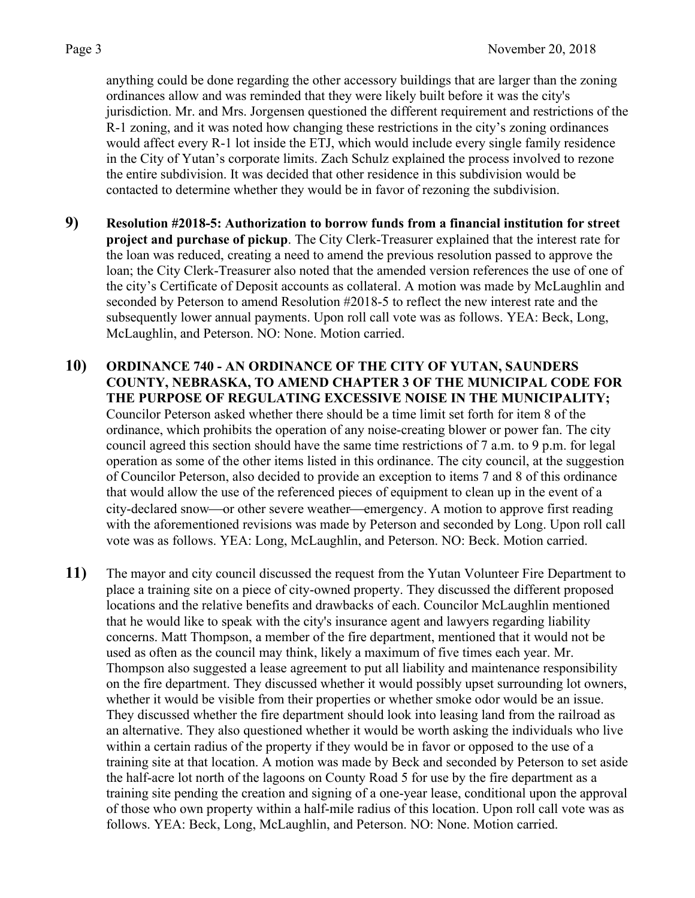anything could be done regarding the other accessory buildings that are larger than the zoning ordinances allow and was reminded that they were likely built before it was the city's jurisdiction. Mr. and Mrs. Jorgensen questioned the different requirement and restrictions of the R-1 zoning, and it was noted how changing these restrictions in the city's zoning ordinances would affect every R-1 lot inside the ETJ, which would include every single family residence in the City of Yutan's corporate limits. Zach Schulz explained the process involved to rezone the entire subdivision. It was decided that other residence in this subdivision would be contacted to determine whether they would be in favor of rezoning the subdivision.

- **9) Resolution #2018-5: Authorization to borrow funds from a financial institution for street project and purchase of pickup**. The City Clerk-Treasurer explained that the interest rate for the loan was reduced, creating a need to amend the previous resolution passed to approve the loan; the City Clerk-Treasurer also noted that the amended version references the use of one of the city's Certificate of Deposit accounts as collateral. A motion was made by McLaughlin and seconded by Peterson to amend Resolution #2018-5 to reflect the new interest rate and the subsequently lower annual payments. Upon roll call vote was as follows. YEA: Beck, Long, McLaughlin, and Peterson. NO: None. Motion carried.
- **10) ORDINANCE 740 - AN ORDINANCE OF THE CITY OF YUTAN, SAUNDERS COUNTY, NEBRASKA, TO AMEND CHAPTER 3 OF THE MUNICIPAL CODE FOR THE PURPOSE OF REGULATING EXCESSIVE NOISE IN THE MUNICIPALITY;** Councilor Peterson asked whether there should be a time limit set forth for item 8 of the ordinance, which prohibits the operation of any noise-creating blower or power fan. The city council agreed this section should have the same time restrictions of 7 a.m. to 9 p.m. for legal operation as some of the other items listed in this ordinance. The city council, at the suggestion of Councilor Peterson, also decided to provide an exception to items 7 and 8 of this ordinance that would allow the use of the referenced pieces of equipment to clean up in the event of a city-declared snow—or other severe weather—emergency. A motion to approve first reading with the aforementioned revisions was made by Peterson and seconded by Long. Upon roll call vote was as follows. YEA: Long, McLaughlin, and Peterson. NO: Beck. Motion carried.
- **11)** The mayor and city council discussed the request from the Yutan Volunteer Fire Department to place a training site on a piece of city-owned property. They discussed the different proposed locations and the relative benefits and drawbacks of each. Councilor McLaughlin mentioned that he would like to speak with the city's insurance agent and lawyers regarding liability concerns. Matt Thompson, a member of the fire department, mentioned that it would not be used as often as the council may think, likely a maximum of five times each year. Mr. Thompson also suggested a lease agreement to put all liability and maintenance responsibility on the fire department. They discussed whether it would possibly upset surrounding lot owners, whether it would be visible from their properties or whether smoke odor would be an issue. They discussed whether the fire department should look into leasing land from the railroad as an alternative. They also questioned whether it would be worth asking the individuals who live within a certain radius of the property if they would be in favor or opposed to the use of a training site at that location. A motion was made by Beck and seconded by Peterson to set aside the half-acre lot north of the lagoons on County Road 5 for use by the fire department as a training site pending the creation and signing of a one-year lease, conditional upon the approval of those who own property within a half-mile radius of this location. Upon roll call vote was as follows. YEA: Beck, Long, McLaughlin, and Peterson. NO: None. Motion carried.